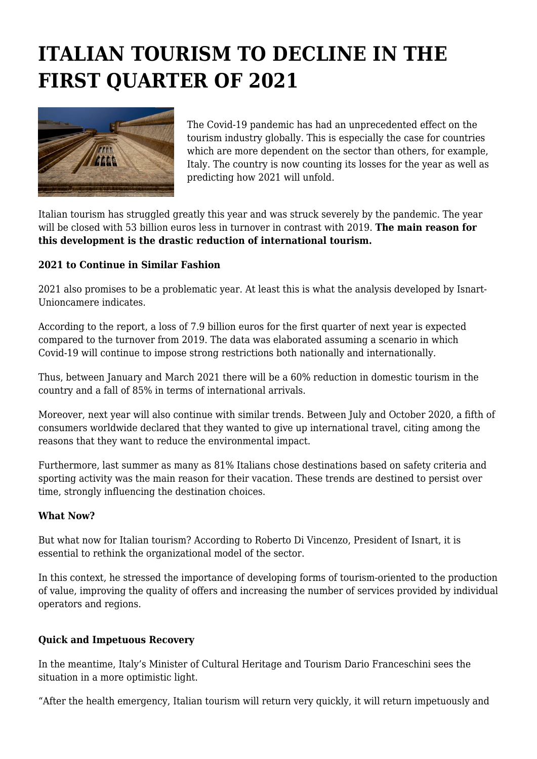## **ITALIAN TOURISM TO DECLINE IN THE FIRST QUARTER OF 2021**



The Covid-19 pandemic has had an unprecedented effect on the tourism industry globally. This is especially the case for countries which are more dependent on the sector than others, for example, Italy. The country is now counting its losses for the year as well as predicting how 2021 will unfold.

Italian tourism has struggled greatly this year and was struck severely by the pandemic. The year will be closed with 53 billion euros less in turnover in contrast with 2019. **The main reason for this development is the drastic reduction of international tourism.**

## **2021 to Continue in Similar Fashion**

2021 also promises to be a problematic year. At least this is what the analysis developed by Isnart-Unioncamere indicates.

According to the report, a loss of 7.9 billion euros for the first quarter of next year is expected compared to the turnover from 2019. The data was elaborated assuming a scenario in which Covid-19 will continue to impose strong restrictions both nationally and internationally.

Thus, between January and March 2021 there will be a 60% reduction in domestic tourism in the country and a fall of 85% in terms of international arrivals.

Moreover, next year will also continue with similar trends. Between July and October 2020, a fifth of consumers worldwide declared that they wanted to give up international travel, citing among the reasons that they want to reduce the environmental impact.

Furthermore, last summer as many as 81% Italians chose destinations based on safety criteria and sporting activity was the main reason for their vacation. These trends are destined to persist over time, strongly influencing the destination choices.

## **What Now?**

But what now for Italian tourism? According to Roberto Di Vincenzo, President of Isnart, it is essential to rethink the organizational model of the sector.

In this context, he stressed the importance of developing forms of tourism-oriented to the production of value, improving the quality of offers and increasing the number of services provided by individual operators and regions.

## **Quick and Impetuous Recovery**

In the meantime, Italy's Minister of Cultural Heritage and Tourism Dario Franceschini sees the situation in a more optimistic light.

"After the health emergency, Italian tourism will return very quickly, it will return impetuously and